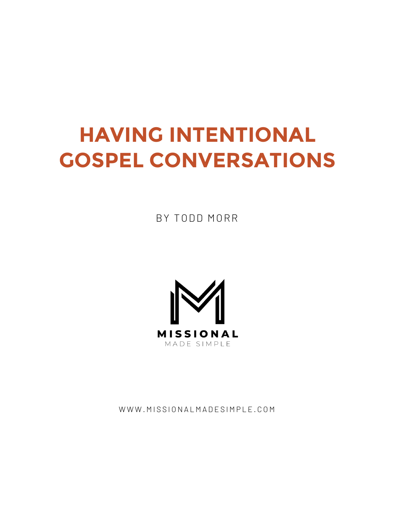# **HAVING INTENTIONAL GOSPEL CONVERSATIONS**

BY TODD MORR



WWW.MISSIONALMADESIMPLE.COM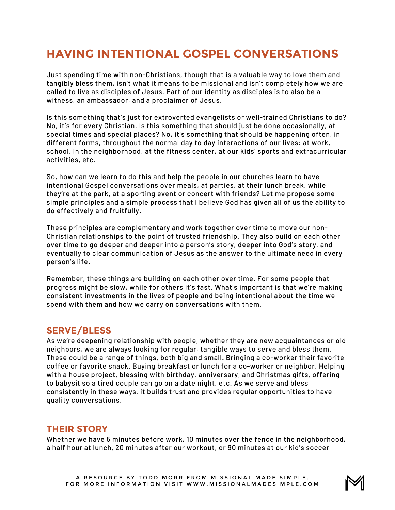# **HAVING INTENTIONAL GOSPEL CONVERSATIONS**

Just spending time with non-Christians, though that is a valuable way to love them and tangibly bless them, isn't what it means to be missional and isn't completely how we are called to live as disciples of Jesus. Part of our identity as disciples is to also be a witness, an ambassador, and a proclaimer of Jesus.

Is this something that's just for extroverted evangelists or well-trained Christians to do? No, it's for every Christian. Is this something that should just be done occasionally, at special times and special places? No, it's something that should be happening often, in different forms, throughout the normal day to day interactions of our lives: at work, school, in the neighborhood, at the fitness center, at our kids' sports and extracurricular activities, etc.

So, how can we learn to do this and help the people in our churches learn to have intentional Gospel conversations over meals, at parties, at their lunch break, while they're at the park, at a sporting event or concert with friends? Let me propose some simple principles and a simple process that I believe God has given all of us the ability to do effectively and fruitfully.

These principles are complementary and work together over time to move our non-Christian relationships to the point of trusted friendship. They also build on each other over time to go deeper and deeper into a person's story, deeper into God's story, and eventually to clear communication of Jesus as the answer to the ultimate need in every person's life.

Remember, these things are building on each other over time. For some people that progress might be slow, while for others it's fast. What's important is that we're making consistent investments in the lives of people and being intentional about the time we spend with them and how we carry on conversations with them.

# **SERVE/BLESS**

As we're deepening relationship with people, whether they are new acquaintances or old neighbors, we are always looking for regular, tangible ways to serve and bless them. These could be a range of things, both big and small. Bringing a co-worker their favorite coffee or favorite snack. Buying breakfast or lunch for a co-worker or neighbor. Helping with a house project, blessing with birthday, anniversary, and Christmas gifts, offering to babysit so a tired couple can go on a date night, etc. As we serve and bless consistently in these ways, it builds trust and provides regular opportunities to have quality conversations.

# **THEIR STORY**

Whether we have 5 minutes before work, 10 minutes over the fence in the neighborhood, a half hour at lunch, 20 minutes after our workout, or 90 minutes at our kid's soccer

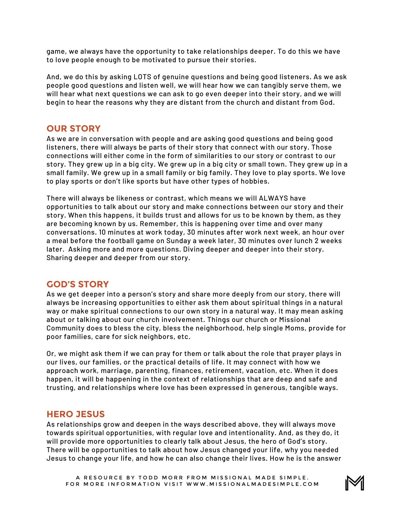game, we always have the opportunity to take relationships deeper. To do this we have to love people enough to be motivated to pursue their stories.

And, we do this by asking LOTS of genuine questions and being good listeners. As we ask people good questions and listen well, we will hear how we can tangibly serve them, we will hear what next questions we can ask to go even deeper into their story, and we will begin to hear the reasons why they are distant from the church and distant from God.

#### **OUR STORY**

As we are in conversation with people and are asking good questions and being good listeners, there will always be parts of their story that connect with our story. Those connections will either come in the form of similarities to our story or contrast to our story. They grew up in a big city. We grew up in a big city or small town. They grew up in a small family. We grew up in a small family or big family. They love to play sports. We love to play sports or don't like sports but have other types of hobbies.

There will always be likeness or contrast, which means we will ALWAYS have opportunities to talk about our story and make connections between our story and their story. When this happens, it builds trust and allows for us to be known by them, as they are becoming known by us. Remember, this is happening over time and over many conversations. 10 minutes at work today, 30 minutes after work next week, an hour over a meal before the football game on Sunday a week later, 30 minutes over lunch 2 weeks later. Asking more and more questions. Diving deeper and deeper into their story. Sharing deeper and deeper from our story.

#### **GOD'S STORY**

As we get deeper into a person's story and share more deeply from our story, there will always be increasing opportunities to either ask them about spiritual things in a natural way or make spiritual connections to our own story in a natural way. It may mean asking about or talking about our church involvement. Things our church or Missional Community does to bless the city, bless the neighborhood, help single Moms, provide for poor families, care for sick neighbors, etc.

Or, we might ask them if we can pray for them or talk about the role that prayer plays in our lives, our families, or the practical details of life. It may connect with how we approach work, marriage, parenting, finances, retirement, vacation, etc. When it does happen, it will be happening in the context of relationships that are deep and safe and trusting, and relationships where love has been expressed in generous, tangible ways.

#### **HERO JESUS**

As relationships grow and deepen in the ways described above, they will always move towards spiritual opportunities, with regular love and intentionality. And, as they do, it will provide more opportunities to clearly talk about Jesus, the hero of God's story. There will be opportunities to talk about how Jesus changed your life, why you needed Jesus to change your life, and how he can also change their lives. How he is the answer

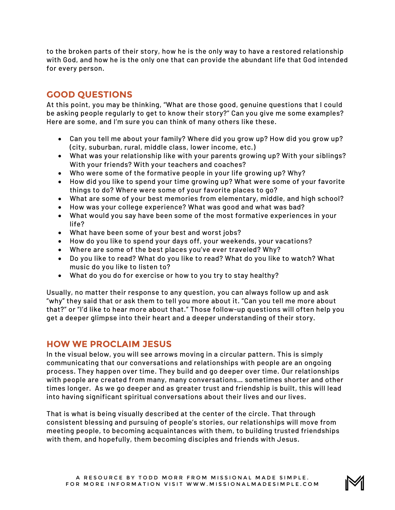to the broken parts of their story, how he is the only way to have a restored relationship with God, and how he is the only one that can provide the abundant life that God intended for every person.

### **GOOD QUESTIONS**

At this point, you may be thinking, "What are those good, genuine questions that I could be asking people regularly to get to know their story?" Can you give me some examples? Here are some, and I'm sure you can think of many others like these.

- Can you tell me about your family? Where did you grow up? How did you grow up? (city, suburban, rural, middle class, lower income, etc.)
- What was your relationship like with your parents growing up? With your siblings? With your friends? With your teachers and coaches?
- Who were some of the formative people in your life growing up? Why?
- How did you like to spend your time growing up? What were some of your favorite things to do? Where were some of your favorite places to go?
- What are some of your best memories from elementary, middle, and high school?
- How was your college experience? What was good and what was bad?
- What would you say have been some of the most formative experiences in your life?
- What have been some of your best and worst jobs?
- How do you like to spend your days off, your weekends, your vacations?
- Where are some of the best places you've ever traveled? Why?
- Do you like to read? What do you like to read? What do you like to watch? What music do you like to listen to?
- What do you do for exercise or how to you try to stay healthy?

Usually, no matter their response to any question, you can always follow up and ask "why" they said that or ask them to tell you more about it. "Can you tell me more about that?" or "I'd like to hear more about that." Those follow-up questions will often help you get a deeper glimpse into their heart and a deeper understanding of their story.

#### **HOW WE PROCLAIM JESUS**

In the visual below, you will see arrows moving in a circular pattern. This is simply communicating that our conversations and relationships with people are an ongoing process. They happen over time. They build and go deeper over time. Our relationships with people are created from many, many conversations… sometimes shorter and other times longer. As we go deeper and as greater trust and friendship is built, this will lead into having significant spiritual conversations about their lives and our lives.

That is what is being visually described at the center of the circle. That through consistent blessing and pursuing of people's stories, our relationships will move from meeting people, to becoming acquaintances with them, to building trusted friendships with them, and hopefully, them becoming disciples and friends with Jesus.